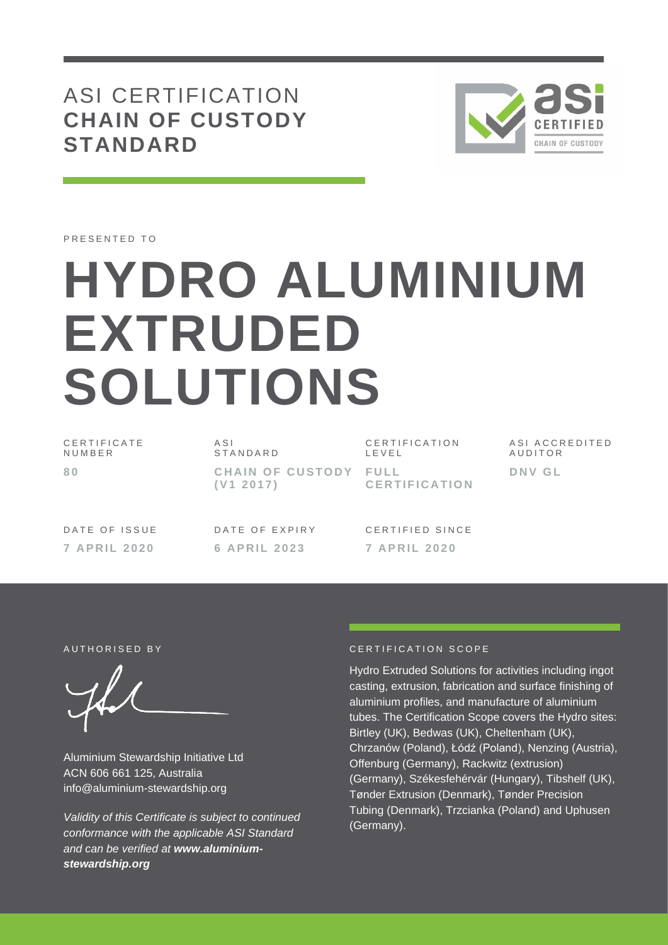# ASI CERTIFICATION **CHAIN OF CUSTODY STANDARD**



PRESENTED TO

# **HYDRO ALUMINIUM EXTRUDED SOLUTIONS**

C E R T I F I C A T E **NUMBER 8 0**

 $\triangle$  S I **STANDARD CHAIN OF CUSTODY FULL ( V1 2 0 1 7 )**

C E R T I F I C A T I O N L E V E L **C E R T I F I C A T I O N** A S I A C C R E D I T E D **AUDITOR D N V G L**

DATE OF ISSUE **7 A P R I L 2 020**

DATE OF EXPIRY **6 A P R I L 2 0 2 3**

CERTIFIED SINCE **7 A P R I L 2 0 2 0**

Aluminium Stewardship Initiative Ltd ACN 606 661 125, Australia info@aluminium-stewardship.org

*Validity of this Certificate is subject to continued conformance with the applicable ASI Standard and can be verified at www.aluminiumstewardship.org*

#### A UTHORISED BY **CERTIFICATION** SCOPE

Hydro Extruded Solutions for activities including ingot casting, extrusion, fabrication and surface finishing of aluminium profiles, and manufacture of aluminium tubes. The Certification Scope covers the Hydro sites: Birtley (UK), Bedwas (UK), Cheltenham (UK), Chrzanów (Poland), Łódź (Poland), Nenzing (Austria), Offenburg (Germany), Rackwitz (extrusion) (Germany), Székesfehérvár (Hungary), Tibshelf (UK), Tønder Extrusion (Denmark), Tønder Precision Tubing (Denmark), Trzcianka (Poland) and Uphusen (Germany).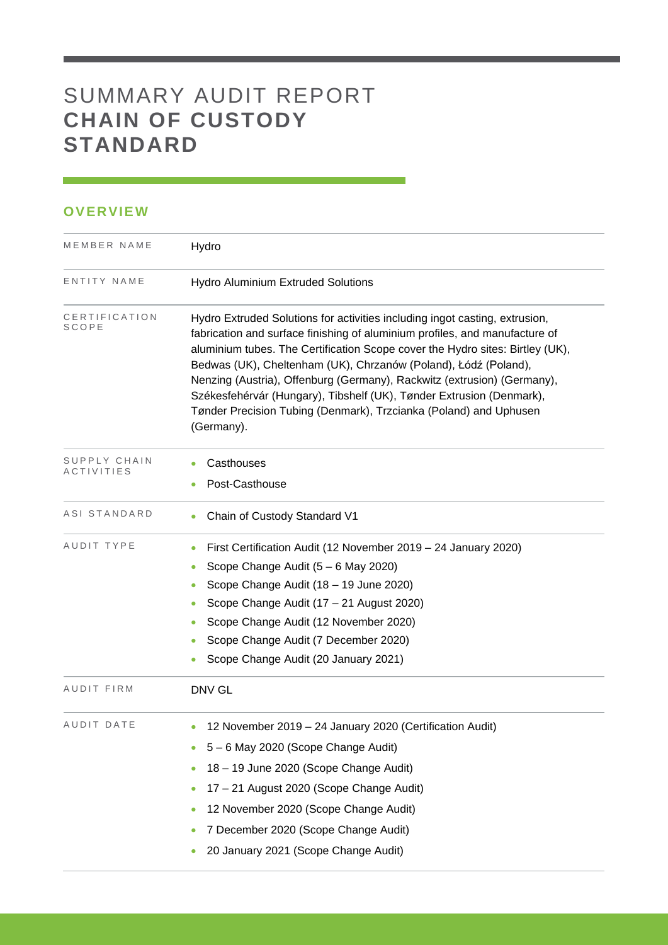## SUMMARY AUDIT REPORT **CHAIN OF CUSTODY STANDARD**

### **OVERVIEW**

| MEMBER NAME            | Hydro                                                                                                                                                                                                                                                                                                                                                                                                                                                                                                                                                |  |  |  |  |
|------------------------|------------------------------------------------------------------------------------------------------------------------------------------------------------------------------------------------------------------------------------------------------------------------------------------------------------------------------------------------------------------------------------------------------------------------------------------------------------------------------------------------------------------------------------------------------|--|--|--|--|
| ENTITY NAME            | <b>Hydro Aluminium Extruded Solutions</b>                                                                                                                                                                                                                                                                                                                                                                                                                                                                                                            |  |  |  |  |
| CERTIFICATION<br>SCOPE | Hydro Extruded Solutions for activities including ingot casting, extrusion,<br>fabrication and surface finishing of aluminium profiles, and manufacture of<br>aluminium tubes. The Certification Scope cover the Hydro sites: Birtley (UK),<br>Bedwas (UK), Cheltenham (UK), Chrzanów (Poland), Łódź (Poland),<br>Nenzing (Austria), Offenburg (Germany), Rackwitz (extrusion) (Germany),<br>Székesfehérvár (Hungary), Tibshelf (UK), Tønder Extrusion (Denmark),<br>Tønder Precision Tubing (Denmark), Trzcianka (Poland) and Uphusen<br>(Germany). |  |  |  |  |
| SUPPLY CHAIN           | Casthouses<br>$\bullet$                                                                                                                                                                                                                                                                                                                                                                                                                                                                                                                              |  |  |  |  |
| ACTIVITIES             | Post-Casthouse<br>$\bullet$                                                                                                                                                                                                                                                                                                                                                                                                                                                                                                                          |  |  |  |  |
| ASI STANDARD           | Chain of Custody Standard V1<br>0                                                                                                                                                                                                                                                                                                                                                                                                                                                                                                                    |  |  |  |  |
| AUDIT TYPE             | First Certification Audit (12 November 2019 - 24 January 2020)<br>$\bullet$                                                                                                                                                                                                                                                                                                                                                                                                                                                                          |  |  |  |  |
|                        | Scope Change Audit (5 - 6 May 2020)<br>$\bullet$                                                                                                                                                                                                                                                                                                                                                                                                                                                                                                     |  |  |  |  |
|                        | Scope Change Audit (18 - 19 June 2020)<br>$\bullet$                                                                                                                                                                                                                                                                                                                                                                                                                                                                                                  |  |  |  |  |
|                        | Scope Change Audit (17 - 21 August 2020)                                                                                                                                                                                                                                                                                                                                                                                                                                                                                                             |  |  |  |  |
|                        | Scope Change Audit (12 November 2020)                                                                                                                                                                                                                                                                                                                                                                                                                                                                                                                |  |  |  |  |
|                        | Scope Change Audit (7 December 2020)<br>$\bullet$                                                                                                                                                                                                                                                                                                                                                                                                                                                                                                    |  |  |  |  |
|                        | Scope Change Audit (20 January 2021)<br>٠                                                                                                                                                                                                                                                                                                                                                                                                                                                                                                            |  |  |  |  |
| AUDIT FIRM             | DNV GL                                                                                                                                                                                                                                                                                                                                                                                                                                                                                                                                               |  |  |  |  |
| AUDIT DATE             | 12 November 2019 - 24 January 2020 (Certification Audit)<br>$\bullet$                                                                                                                                                                                                                                                                                                                                                                                                                                                                                |  |  |  |  |
|                        | 5 - 6 May 2020 (Scope Change Audit)                                                                                                                                                                                                                                                                                                                                                                                                                                                                                                                  |  |  |  |  |
|                        | 18 - 19 June 2020 (Scope Change Audit)<br>٠                                                                                                                                                                                                                                                                                                                                                                                                                                                                                                          |  |  |  |  |
|                        | 17 - 21 August 2020 (Scope Change Audit)<br>٠                                                                                                                                                                                                                                                                                                                                                                                                                                                                                                        |  |  |  |  |
|                        | 12 November 2020 (Scope Change Audit)                                                                                                                                                                                                                                                                                                                                                                                                                                                                                                                |  |  |  |  |
|                        | 7 December 2020 (Scope Change Audit)<br>$\bullet$                                                                                                                                                                                                                                                                                                                                                                                                                                                                                                    |  |  |  |  |
|                        | 20 January 2021 (Scope Change Audit)                                                                                                                                                                                                                                                                                                                                                                                                                                                                                                                 |  |  |  |  |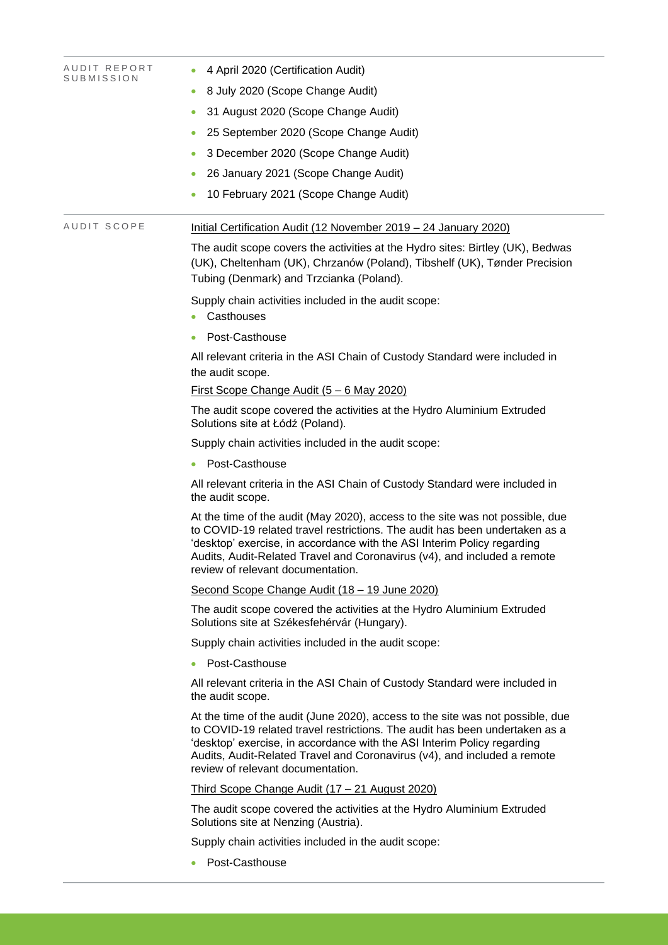| AUDIT REPORT<br>SUBMISSION | 4 April 2020 (Certification Audit)                                                                                                                                                                                                                                                                                                                        |  |  |  |  |  |
|----------------------------|-----------------------------------------------------------------------------------------------------------------------------------------------------------------------------------------------------------------------------------------------------------------------------------------------------------------------------------------------------------|--|--|--|--|--|
|                            | 8 July 2020 (Scope Change Audit)<br>۰                                                                                                                                                                                                                                                                                                                     |  |  |  |  |  |
|                            | 31 August 2020 (Scope Change Audit)                                                                                                                                                                                                                                                                                                                       |  |  |  |  |  |
|                            | 25 September 2020 (Scope Change Audit)<br>$\bullet$                                                                                                                                                                                                                                                                                                       |  |  |  |  |  |
|                            | 3 December 2020 (Scope Change Audit)<br>$\bullet$                                                                                                                                                                                                                                                                                                         |  |  |  |  |  |
|                            | 26 January 2021 (Scope Change Audit)                                                                                                                                                                                                                                                                                                                      |  |  |  |  |  |
|                            | 10 February 2021 (Scope Change Audit)                                                                                                                                                                                                                                                                                                                     |  |  |  |  |  |
| AUDIT SCOPE                | Initial Certification Audit (12 November 2019 - 24 January 2020)                                                                                                                                                                                                                                                                                          |  |  |  |  |  |
|                            | The audit scope covers the activities at the Hydro sites: Birtley (UK), Bedwas<br>(UK), Cheltenham (UK), Chrzanów (Poland), Tibshelf (UK), Tønder Precision<br>Tubing (Denmark) and Trzcianka (Poland).                                                                                                                                                   |  |  |  |  |  |
|                            | Supply chain activities included in the audit scope:<br>Casthouses                                                                                                                                                                                                                                                                                        |  |  |  |  |  |
|                            | Post-Casthouse                                                                                                                                                                                                                                                                                                                                            |  |  |  |  |  |
|                            | All relevant criteria in the ASI Chain of Custody Standard were included in<br>the audit scope.                                                                                                                                                                                                                                                           |  |  |  |  |  |
|                            | First Scope Change Audit (5 - 6 May 2020)                                                                                                                                                                                                                                                                                                                 |  |  |  |  |  |
|                            | The audit scope covered the activities at the Hydro Aluminium Extruded<br>Solutions site at Łódź (Poland).                                                                                                                                                                                                                                                |  |  |  |  |  |
|                            | Supply chain activities included in the audit scope:                                                                                                                                                                                                                                                                                                      |  |  |  |  |  |
|                            | Post-Casthouse                                                                                                                                                                                                                                                                                                                                            |  |  |  |  |  |
|                            | All relevant criteria in the ASI Chain of Custody Standard were included in<br>the audit scope.                                                                                                                                                                                                                                                           |  |  |  |  |  |
|                            | At the time of the audit (May 2020), access to the site was not possible, due<br>to COVID-19 related travel restrictions. The audit has been undertaken as a<br>'desktop' exercise, in accordance with the ASI Interim Policy regarding<br>Audits, Audit-Related Travel and Coronavirus (v4), and included a remote<br>review of relevant documentation.  |  |  |  |  |  |
|                            | Second Scope Change Audit (18 - 19 June 2020)                                                                                                                                                                                                                                                                                                             |  |  |  |  |  |
|                            | The audit scope covered the activities at the Hydro Aluminium Extruded<br>Solutions site at Székesfehérvár (Hungary).                                                                                                                                                                                                                                     |  |  |  |  |  |
|                            | Supply chain activities included in the audit scope:                                                                                                                                                                                                                                                                                                      |  |  |  |  |  |
|                            | Post-Casthouse                                                                                                                                                                                                                                                                                                                                            |  |  |  |  |  |
|                            | All relevant criteria in the ASI Chain of Custody Standard were included in<br>the audit scope.                                                                                                                                                                                                                                                           |  |  |  |  |  |
|                            | At the time of the audit (June 2020), access to the site was not possible, due<br>to COVID-19 related travel restrictions. The audit has been undertaken as a<br>'desktop' exercise, in accordance with the ASI Interim Policy regarding<br>Audits, Audit-Related Travel and Coronavirus (v4), and included a remote<br>review of relevant documentation. |  |  |  |  |  |
|                            | Third Scope Change Audit (17 - 21 August 2020)                                                                                                                                                                                                                                                                                                            |  |  |  |  |  |
|                            | The audit scope covered the activities at the Hydro Aluminium Extruded<br>Solutions site at Nenzing (Austria).                                                                                                                                                                                                                                            |  |  |  |  |  |
|                            | Supply chain activities included in the audit scope:                                                                                                                                                                                                                                                                                                      |  |  |  |  |  |
|                            | Post-Casthouse                                                                                                                                                                                                                                                                                                                                            |  |  |  |  |  |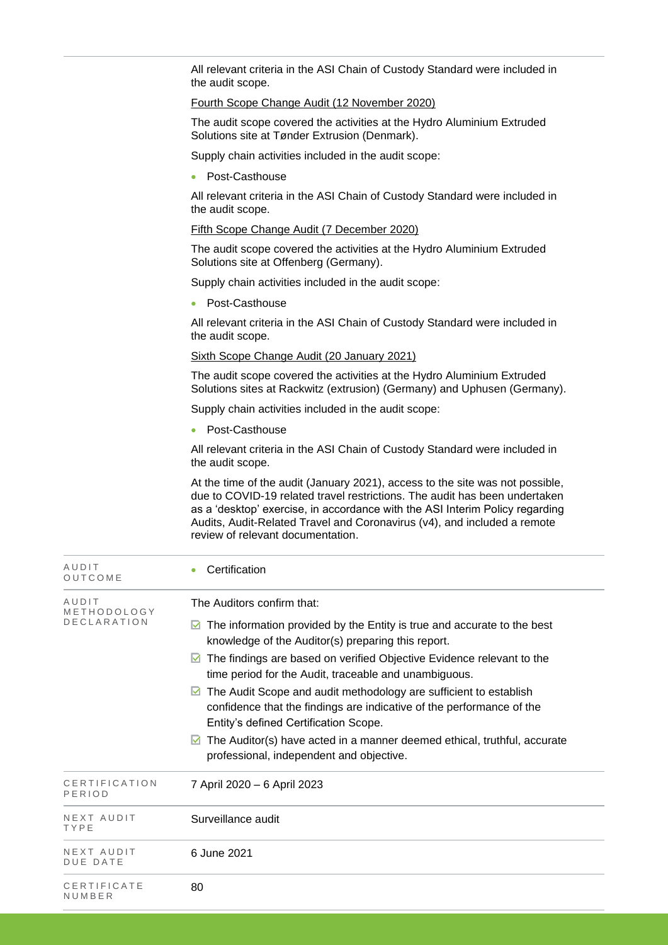All relevant criteria in the ASI Chain of Custody Standard were included in the audit scope.

#### Fourth Scope Change Audit (12 November 2020)

The audit scope covered the activities at the Hydro Aluminium Extruded Solutions site at Tønder Extrusion (Denmark).

Supply chain activities included in the audit scope:

• Post-Casthouse

All relevant criteria in the ASI Chain of Custody Standard were included in the audit scope.

#### Fifth Scope Change Audit (7 December 2020)

The audit scope covered the activities at the Hydro Aluminium Extruded Solutions site at Offenberg (Germany).

Supply chain activities included in the audit scope:

• Post-Casthouse

All relevant criteria in the ASI Chain of Custody Standard were included in the audit scope.

Sixth Scope Change Audit (20 January 2021)

The audit scope covered the activities at the Hydro Aluminium Extruded Solutions sites at Rackwitz (extrusion) (Germany) and Uphusen (Germany).

Supply chain activities included in the audit scope:

• Post-Casthouse

All relevant criteria in the ASI Chain of Custody Standard were included in the audit scope.

At the time of the audit (January 2021), access to the site was not possible, due to COVID-19 related travel restrictions. The audit has been undertaken as a 'desktop' exercise, in accordance with the ASI Interim Policy regarding Audits, Audit-Related Travel and Coronavirus (v4), and included a remote review of relevant documentation.

| AUDIT<br>OUTCOME                           | Certification                                                                                                                                                                                                                                                                                                                                                                                                                                              |
|--------------------------------------------|------------------------------------------------------------------------------------------------------------------------------------------------------------------------------------------------------------------------------------------------------------------------------------------------------------------------------------------------------------------------------------------------------------------------------------------------------------|
| AUDIT<br>METHODOLOGY<br><b>DECLARATION</b> | The Auditors confirm that:<br>The information provided by the Entity is true and accurate to the best<br>M<br>knowledge of the Auditor(s) preparing this report.<br>The findings are based on verified Objective Evidence relevant to the<br>M<br>time period for the Audit, traceable and unambiguous.<br>The Audit Scope and audit methodology are sufficient to establish<br>M<br>confidence that the findings are indicative of the performance of the |
|                                            | Entity's defined Certification Scope.<br>The Auditor(s) have acted in a manner deemed ethical, truthful, accurate<br>M<br>professional, independent and objective.                                                                                                                                                                                                                                                                                         |
| CERTIFICATION<br>PERIOD                    | 7 April 2020 - 6 April 2023                                                                                                                                                                                                                                                                                                                                                                                                                                |
| NEXT AUDIT<br>TYPE                         | Surveillance audit                                                                                                                                                                                                                                                                                                                                                                                                                                         |
| NEXT AUDIT<br><b>DUE DATE</b>              | 6 June 2021                                                                                                                                                                                                                                                                                                                                                                                                                                                |
| CERTIFICATE<br>NUMBER                      | 80                                                                                                                                                                                                                                                                                                                                                                                                                                                         |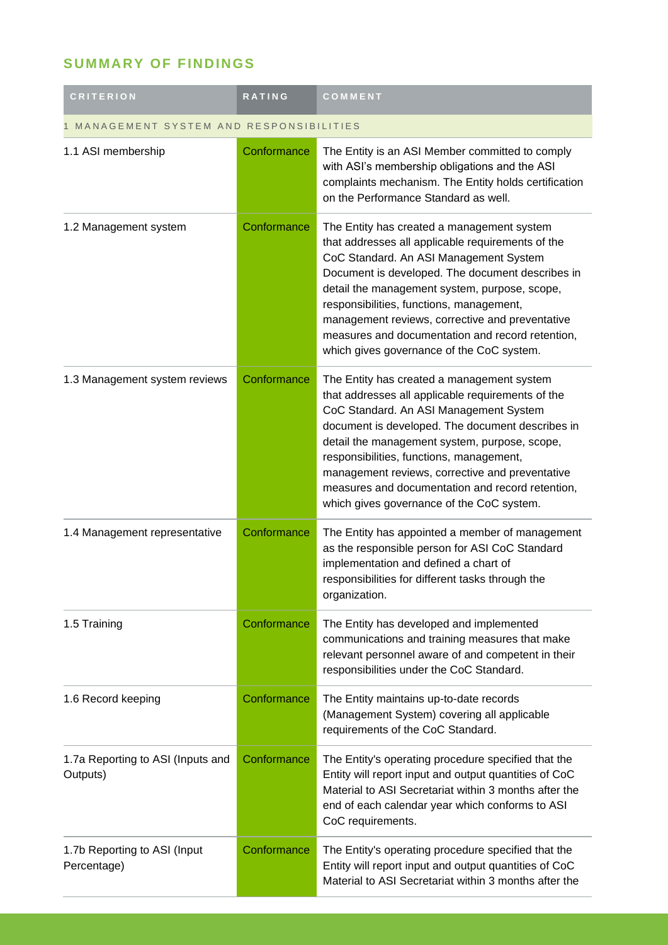## **SUMMARY OF FINDINGS**

| <b>CRITERION</b>                              | RATING      | COMMENT                                                                                                                                                                                                                                                                                                                                                                                                                                        |  |
|-----------------------------------------------|-------------|------------------------------------------------------------------------------------------------------------------------------------------------------------------------------------------------------------------------------------------------------------------------------------------------------------------------------------------------------------------------------------------------------------------------------------------------|--|
| MANAGEMENT SYSTEM AND RESPONSIBILITIES        |             |                                                                                                                                                                                                                                                                                                                                                                                                                                                |  |
| 1.1 ASI membership                            | Conformance | The Entity is an ASI Member committed to comply<br>with ASI's membership obligations and the ASI<br>complaints mechanism. The Entity holds certification<br>on the Performance Standard as well.                                                                                                                                                                                                                                               |  |
| 1.2 Management system                         | Conformance | The Entity has created a management system<br>that addresses all applicable requirements of the<br>CoC Standard. An ASI Management System<br>Document is developed. The document describes in<br>detail the management system, purpose, scope,<br>responsibilities, functions, management,<br>management reviews, corrective and preventative<br>measures and documentation and record retention,<br>which gives governance of the CoC system. |  |
| 1.3 Management system reviews                 | Conformance | The Entity has created a management system<br>that addresses all applicable requirements of the<br>CoC Standard. An ASI Management System<br>document is developed. The document describes in<br>detail the management system, purpose, scope,<br>responsibilities, functions, management,<br>management reviews, corrective and preventative<br>measures and documentation and record retention,<br>which gives governance of the CoC system. |  |
| 1.4 Management representative                 | Conformance | The Entity has appointed a member of management<br>as the responsible person for ASI CoC Standard<br>implementation and defined a chart of<br>responsibilities for different tasks through the<br>organization.                                                                                                                                                                                                                                |  |
| 1.5 Training                                  | Conformance | The Entity has developed and implemented<br>communications and training measures that make<br>relevant personnel aware of and competent in their<br>responsibilities under the CoC Standard.                                                                                                                                                                                                                                                   |  |
| 1.6 Record keeping                            | Conformance | The Entity maintains up-to-date records<br>(Management System) covering all applicable<br>requirements of the CoC Standard.                                                                                                                                                                                                                                                                                                                    |  |
| 1.7a Reporting to ASI (Inputs and<br>Outputs) | Conformance | The Entity's operating procedure specified that the<br>Entity will report input and output quantities of CoC<br>Material to ASI Secretariat within 3 months after the<br>end of each calendar year which conforms to ASI<br>CoC requirements.                                                                                                                                                                                                  |  |
| 1.7b Reporting to ASI (Input<br>Percentage)   | Conformance | The Entity's operating procedure specified that the<br>Entity will report input and output quantities of CoC<br>Material to ASI Secretariat within 3 months after the                                                                                                                                                                                                                                                                          |  |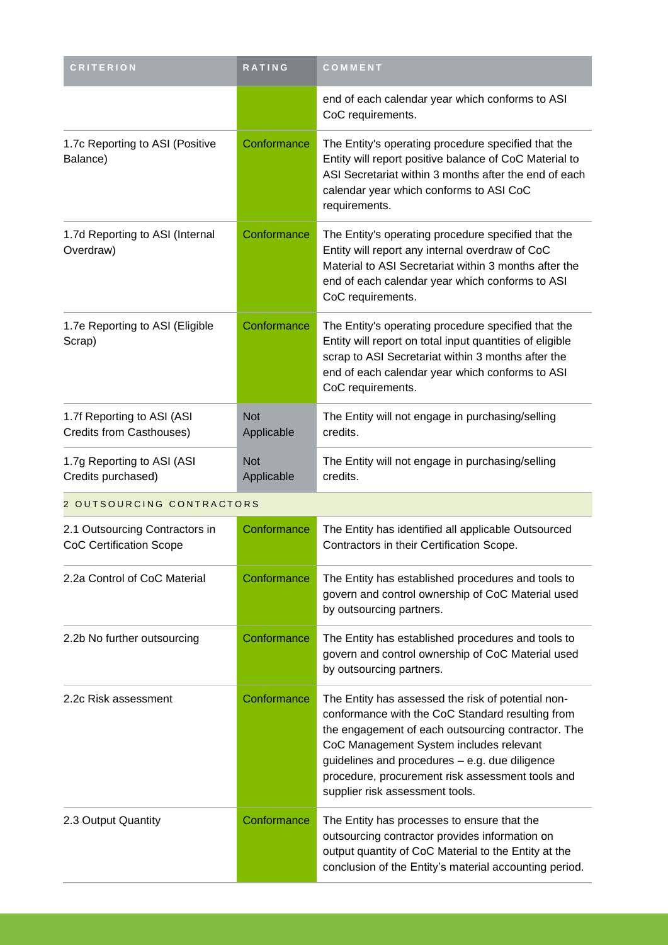| <b>CRITERION</b>                                                 | RATING                   | COMMENT                                                                                                                                                                                                                                                                                                                                          |
|------------------------------------------------------------------|--------------------------|--------------------------------------------------------------------------------------------------------------------------------------------------------------------------------------------------------------------------------------------------------------------------------------------------------------------------------------------------|
|                                                                  |                          | end of each calendar year which conforms to ASI<br>CoC requirements.                                                                                                                                                                                                                                                                             |
| 1.7c Reporting to ASI (Positive<br>Balance)                      | Conformance              | The Entity's operating procedure specified that the<br>Entity will report positive balance of CoC Material to<br>ASI Secretariat within 3 months after the end of each<br>calendar year which conforms to ASI CoC<br>requirements.                                                                                                               |
| 1.7d Reporting to ASI (Internal<br>Overdraw)                     | Conformance              | The Entity's operating procedure specified that the<br>Entity will report any internal overdraw of CoC<br>Material to ASI Secretariat within 3 months after the<br>end of each calendar year which conforms to ASI<br>CoC requirements.                                                                                                          |
| 1.7e Reporting to ASI (Eligible<br>Scrap)                        | Conformance              | The Entity's operating procedure specified that the<br>Entity will report on total input quantities of eligible<br>scrap to ASI Secretariat within 3 months after the<br>end of each calendar year which conforms to ASI<br>CoC requirements.                                                                                                    |
| 1.7f Reporting to ASI (ASI<br>Credits from Casthouses)           | <b>Not</b><br>Applicable | The Entity will not engage in purchasing/selling<br>credits.                                                                                                                                                                                                                                                                                     |
| 1.7g Reporting to ASI (ASI<br>Credits purchased)                 | <b>Not</b><br>Applicable | The Entity will not engage in purchasing/selling<br>credits.                                                                                                                                                                                                                                                                                     |
| 2 OUTSOURCING CONTRACTORS                                        |                          |                                                                                                                                                                                                                                                                                                                                                  |
| 2.1 Outsourcing Contractors in<br><b>CoC Certification Scope</b> | Conformance              | The Entity has identified all applicable Outsourced<br>Contractors in their Certification Scope.                                                                                                                                                                                                                                                 |
| 2.2a Control of CoC Material                                     | Conformance              | The Entity has established procedures and tools to<br>govern and control ownership of CoC Material used<br>by outsourcing partners.                                                                                                                                                                                                              |
| 2.2b No further outsourcing                                      | Conformance              | The Entity has established procedures and tools to<br>govern and control ownership of CoC Material used<br>by outsourcing partners.                                                                                                                                                                                                              |
| 2.2c Risk assessment                                             | Conformance              | The Entity has assessed the risk of potential non-<br>conformance with the CoC Standard resulting from<br>the engagement of each outsourcing contractor. The<br>CoC Management System includes relevant<br>guidelines and procedures - e.g. due diligence<br>procedure, procurement risk assessment tools and<br>supplier risk assessment tools. |
| 2.3 Output Quantity                                              | Conformance              | The Entity has processes to ensure that the<br>outsourcing contractor provides information on<br>output quantity of CoC Material to the Entity at the<br>conclusion of the Entity's material accounting period.                                                                                                                                  |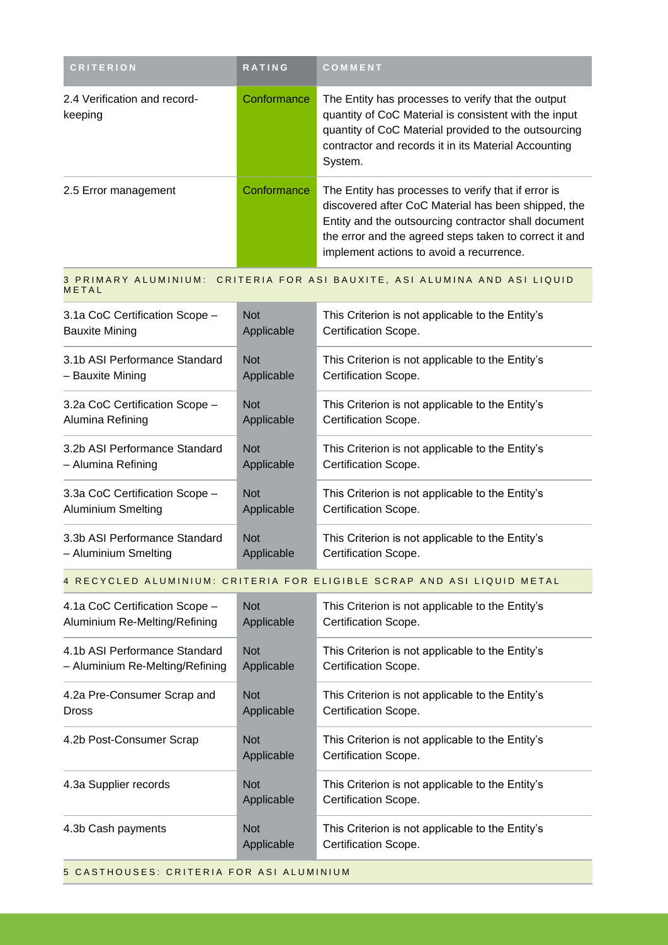| <b>CRITERION</b>                        | <b>RATING</b> | <b>COMMENT</b>                                                                                                                                                                                                                                                           |
|-----------------------------------------|---------------|--------------------------------------------------------------------------------------------------------------------------------------------------------------------------------------------------------------------------------------------------------------------------|
| 2.4 Verification and record-<br>keeping | Conformance   | The Entity has processes to verify that the output<br>quantity of CoC Material is consistent with the input<br>quantity of CoC Material provided to the outsourcing<br>contractor and records it in its Material Accounting<br>System.                                   |
| 2.5 Error management                    | Conformance   | The Entity has processes to verify that if error is<br>discovered after CoC Material has been shipped, the<br>Entity and the outsourcing contractor shall document<br>the error and the agreed steps taken to correct it and<br>implement actions to avoid a recurrence. |

3 PRIMARY ALUMINIUM: CRITERIA FOR ASI BAUXITE, ASI ALUMINA AND ASI LIQUID **METAL** 

| 3.1a CoC Certification Scope - | <b>Not</b> | This Criterion is not applicable to the Entity's |
|--------------------------------|------------|--------------------------------------------------|
| <b>Bauxite Mining</b>          | Applicable | Certification Scope.                             |
| 3.1b ASI Performance Standard  | <b>Not</b> | This Criterion is not applicable to the Entity's |
| – Bauxite Mining               | Applicable | Certification Scope.                             |
| 3.2a CoC Certification Scope - | <b>Not</b> | This Criterion is not applicable to the Entity's |
| Alumina Refining               | Applicable | Certification Scope.                             |
| 3.2b ASI Performance Standard  | <b>Not</b> | This Criterion is not applicable to the Entity's |
| - Alumina Refining             | Applicable | Certification Scope.                             |
| 3.3a CoC Certification Scope - | <b>Not</b> | This Criterion is not applicable to the Entity's |
| <b>Aluminium Smelting</b>      | Applicable | Certification Scope.                             |
| 3.3b ASI Performance Standard  | <b>Not</b> | This Criterion is not applicable to the Entity's |
| – Aluminium Smelting           | Applicable | Certification Scope.                             |

#### 4 RECYCLED ALUMINIUM: CRITERIA FOR ELIGIBLE SCRAP AND ASI LIQUID METAL

| 4.1a CoC Certification Scope -  | <b>Not</b>               | This Criterion is not applicable to the Entity's                         |
|---------------------------------|--------------------------|--------------------------------------------------------------------------|
| Aluminium Re-Melting/Refining   | Applicable               | Certification Scope.                                                     |
| 4.1b ASI Performance Standard   | <b>Not</b>               | This Criterion is not applicable to the Entity's                         |
| - Aluminium Re-Melting/Refining | Applicable               | Certification Scope.                                                     |
| 4.2a Pre-Consumer Scrap and     | <b>Not</b>               | This Criterion is not applicable to the Entity's                         |
| <b>Dross</b>                    | Applicable               | Certification Scope.                                                     |
| 4.2b Post-Consumer Scrap        | <b>Not</b><br>Applicable | This Criterion is not applicable to the Entity's<br>Certification Scope. |
| 4.3a Supplier records           | <b>Not</b><br>Applicable | This Criterion is not applicable to the Entity's<br>Certification Scope. |
| 4.3b Cash payments              | <b>Not</b><br>Applicable | This Criterion is not applicable to the Entity's<br>Certification Scope. |

5 CASTHOUSES: CRITERIA FOR ASI ALUMINIUM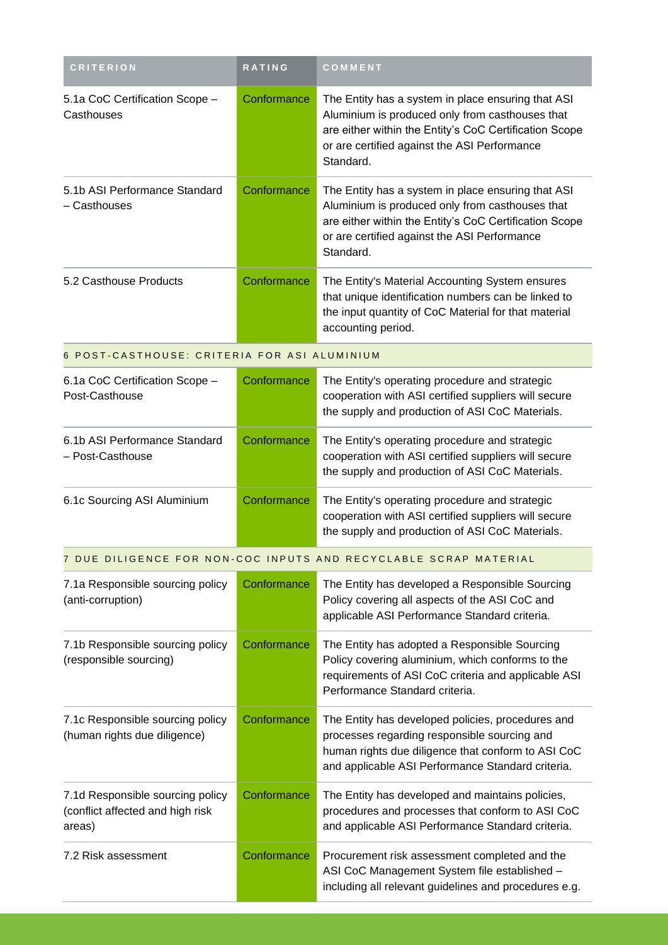| <b>CRITERION</b>                                                               | <b>RATING</b> | COMMENT                                                                                                                                                                                                                      |
|--------------------------------------------------------------------------------|---------------|------------------------------------------------------------------------------------------------------------------------------------------------------------------------------------------------------------------------------|
| 5.1a CoC Certification Scope -<br>Casthouses                                   | Conformance   | The Entity has a system in place ensuring that ASI<br>Aluminium is produced only from casthouses that<br>are either within the Entity's CoC Certification Scope<br>or are certified against the ASI Performance<br>Standard. |
| 5.1b ASI Performance Standard<br>- Casthouses                                  | Conformance   | The Entity has a system in place ensuring that ASI<br>Aluminium is produced only from casthouses that<br>are either within the Entity's CoC Certification Scope<br>or are certified against the ASI Performance<br>Standard. |
| 5.2 Casthouse Products                                                         | Conformance   | The Entity's Material Accounting System ensures<br>that unique identification numbers can be linked to<br>the input quantity of CoC Material for that material<br>accounting period.                                         |
| 6 POST-CASTHOUSE: CRITERIA FOR ASI ALUMINIUM                                   |               |                                                                                                                                                                                                                              |
| 6.1a CoC Certification Scope -<br>Post-Casthouse                               | Conformance   | The Entity's operating procedure and strategic<br>cooperation with ASI certified suppliers will secure<br>the supply and production of ASI CoC Materials.                                                                    |
| 6.1b ASI Performance Standard<br>- Post-Casthouse                              | Conformance   | The Entity's operating procedure and strategic<br>cooperation with ASI certified suppliers will secure<br>the supply and production of ASI CoC Materials.                                                                    |
| 6.1c Sourcing ASI Aluminium                                                    | Conformance   | The Entity's operating procedure and strategic<br>cooperation with ASI certified suppliers will secure<br>the supply and production of ASI CoC Materials.                                                                    |
|                                                                                |               | 7 DUE DILIGENCE FOR NON-COC INPUTS AND RECYCLABLE SCRAP MATERIAL                                                                                                                                                             |
| 7.1a Responsible sourcing policy<br>(anti-corruption)                          | Conformance   | The Entity has developed a Responsible Sourcing<br>Policy covering all aspects of the ASI CoC and<br>applicable ASI Performance Standard criteria.                                                                           |
| 7.1b Responsible sourcing policy<br>(responsible sourcing)                     | Conformance   | The Entity has adopted a Responsible Sourcing<br>Policy covering aluminium, which conforms to the<br>requirements of ASI CoC criteria and applicable ASI<br>Performance Standard criteria.                                   |
| 7.1c Responsible sourcing policy<br>(human rights due diligence)               | Conformance   | The Entity has developed policies, procedures and<br>processes regarding responsible sourcing and<br>human rights due diligence that conform to ASI CoC<br>and applicable ASI Performance Standard criteria.                 |
| 7.1d Responsible sourcing policy<br>(conflict affected and high risk<br>areas) | Conformance   | The Entity has developed and maintains policies,<br>procedures and processes that conform to ASI CoC<br>and applicable ASI Performance Standard criteria.                                                                    |
| 7.2 Risk assessment                                                            | Conformance   | Procurement risk assessment completed and the<br>ASI CoC Management System file established -<br>including all relevant guidelines and procedures e.g.                                                                       |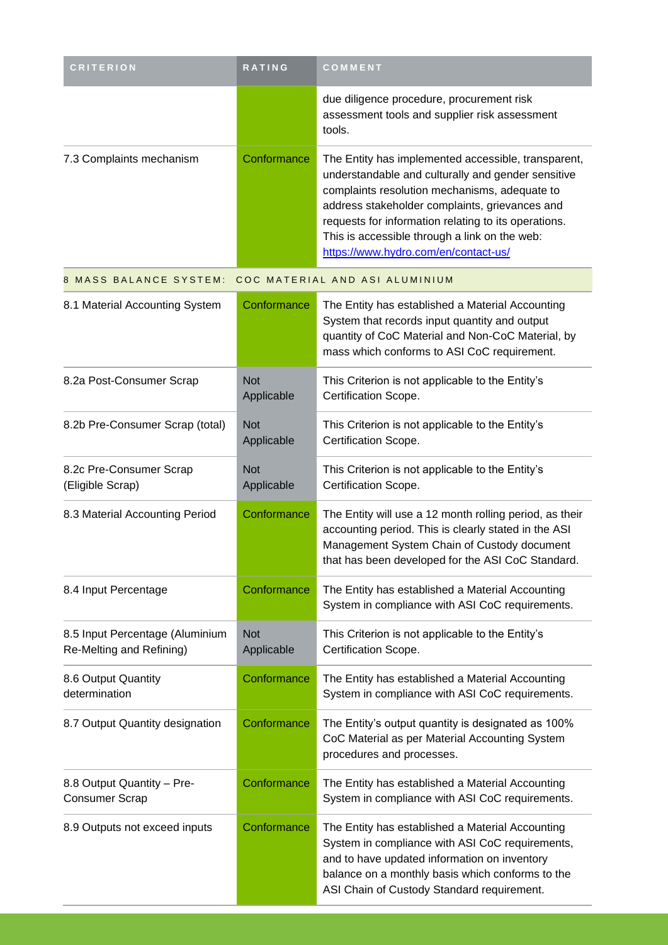| <b>CRITERION</b>                                            | RATING                   | COMMENT                                                                                                                                                                                                                                                                                                                                                       |
|-------------------------------------------------------------|--------------------------|---------------------------------------------------------------------------------------------------------------------------------------------------------------------------------------------------------------------------------------------------------------------------------------------------------------------------------------------------------------|
|                                                             |                          | due diligence procedure, procurement risk<br>assessment tools and supplier risk assessment<br>tools.                                                                                                                                                                                                                                                          |
| 7.3 Complaints mechanism                                    | Conformance              | The Entity has implemented accessible, transparent,<br>understandable and culturally and gender sensitive<br>complaints resolution mechanisms, adequate to<br>address stakeholder complaints, grievances and<br>requests for information relating to its operations.<br>This is accessible through a link on the web:<br>https://www.hydro.com/en/contact-us/ |
| 8 MASS BALANCE SYSTEM:                                      |                          | COC MATERIAL AND ASI ALUMINIUM                                                                                                                                                                                                                                                                                                                                |
| 8.1 Material Accounting System                              | Conformance              | The Entity has established a Material Accounting<br>System that records input quantity and output<br>quantity of CoC Material and Non-CoC Material, by<br>mass which conforms to ASI CoC requirement.                                                                                                                                                         |
| 8.2a Post-Consumer Scrap                                    | <b>Not</b><br>Applicable | This Criterion is not applicable to the Entity's<br>Certification Scope.                                                                                                                                                                                                                                                                                      |
| 8.2b Pre-Consumer Scrap (total)                             | <b>Not</b><br>Applicable | This Criterion is not applicable to the Entity's<br>Certification Scope.                                                                                                                                                                                                                                                                                      |
| 8.2c Pre-Consumer Scrap<br>(Eligible Scrap)                 | <b>Not</b><br>Applicable | This Criterion is not applicable to the Entity's<br>Certification Scope.                                                                                                                                                                                                                                                                                      |
| 8.3 Material Accounting Period                              | Conformance              | The Entity will use a 12 month rolling period, as their<br>accounting period. This is clearly stated in the ASI<br>Management System Chain of Custody document<br>that has been developed for the ASI CoC Standard.                                                                                                                                           |
| 8.4 Input Percentage                                        | Conformance              | The Entity has established a Material Accounting<br>System in compliance with ASI CoC requirements.                                                                                                                                                                                                                                                           |
| 8.5 Input Percentage (Aluminium<br>Re-Melting and Refining) | <b>Not</b><br>Applicable | This Criterion is not applicable to the Entity's<br>Certification Scope.                                                                                                                                                                                                                                                                                      |
| 8.6 Output Quantity<br>determination                        | Conformance              | The Entity has established a Material Accounting<br>System in compliance with ASI CoC requirements.                                                                                                                                                                                                                                                           |
| 8.7 Output Quantity designation                             | Conformance              | The Entity's output quantity is designated as 100%<br>CoC Material as per Material Accounting System<br>procedures and processes.                                                                                                                                                                                                                             |
| 8.8 Output Quantity - Pre-<br><b>Consumer Scrap</b>         | Conformance              | The Entity has established a Material Accounting<br>System in compliance with ASI CoC requirements.                                                                                                                                                                                                                                                           |
| 8.9 Outputs not exceed inputs                               | Conformance              | The Entity has established a Material Accounting<br>System in compliance with ASI CoC requirements,<br>and to have updated information on inventory<br>balance on a monthly basis which conforms to the<br>ASI Chain of Custody Standard requirement.                                                                                                         |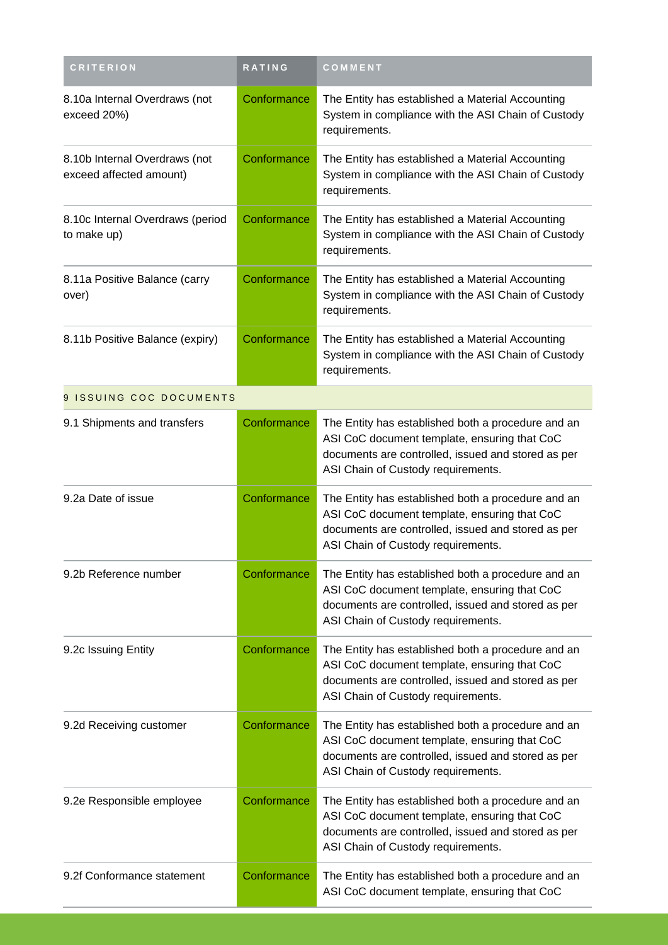| <b>CRITERION</b>                                         | RATING      | COMMENT                                                                                                                                                                                        |
|----------------------------------------------------------|-------------|------------------------------------------------------------------------------------------------------------------------------------------------------------------------------------------------|
| 8.10a Internal Overdraws (not<br>exceed 20%)             | Conformance | The Entity has established a Material Accounting<br>System in compliance with the ASI Chain of Custody<br>requirements.                                                                        |
| 8.10b Internal Overdraws (not<br>exceed affected amount) | Conformance | The Entity has established a Material Accounting<br>System in compliance with the ASI Chain of Custody<br>requirements.                                                                        |
| 8.10c Internal Overdraws (period<br>to make up)          | Conformance | The Entity has established a Material Accounting<br>System in compliance with the ASI Chain of Custody<br>requirements.                                                                        |
| 8.11a Positive Balance (carry<br>over)                   | Conformance | The Entity has established a Material Accounting<br>System in compliance with the ASI Chain of Custody<br>requirements.                                                                        |
| 8.11b Positive Balance (expiry)                          | Conformance | The Entity has established a Material Accounting<br>System in compliance with the ASI Chain of Custody<br>requirements.                                                                        |
| 9 ISSUING COC DOCUMENTS                                  |             |                                                                                                                                                                                                |
| 9.1 Shipments and transfers                              | Conformance | The Entity has established both a procedure and an<br>ASI CoC document template, ensuring that CoC<br>documents are controlled, issued and stored as per<br>ASI Chain of Custody requirements. |
| 9.2a Date of issue                                       | Conformance | The Entity has established both a procedure and an<br>ASI CoC document template, ensuring that CoC<br>documents are controlled, issued and stored as per<br>ASI Chain of Custody requirements. |
| 9.2b Reference number                                    | Conformance | The Entity has established both a procedure and an<br>ASI CoC document template, ensuring that CoC<br>documents are controlled, issued and stored as per<br>ASI Chain of Custody requirements. |
| 9.2c Issuing Entity                                      | Conformance | The Entity has established both a procedure and an<br>ASI CoC document template, ensuring that CoC<br>documents are controlled, issued and stored as per<br>ASI Chain of Custody requirements. |
| 9.2d Receiving customer                                  | Conformance | The Entity has established both a procedure and an<br>ASI CoC document template, ensuring that CoC<br>documents are controlled, issued and stored as per<br>ASI Chain of Custody requirements. |
| 9.2e Responsible employee                                | Conformance | The Entity has established both a procedure and an<br>ASI CoC document template, ensuring that CoC<br>documents are controlled, issued and stored as per<br>ASI Chain of Custody requirements. |
| 9.2f Conformance statement                               | Conformance | The Entity has established both a procedure and an<br>ASI CoC document template, ensuring that CoC                                                                                             |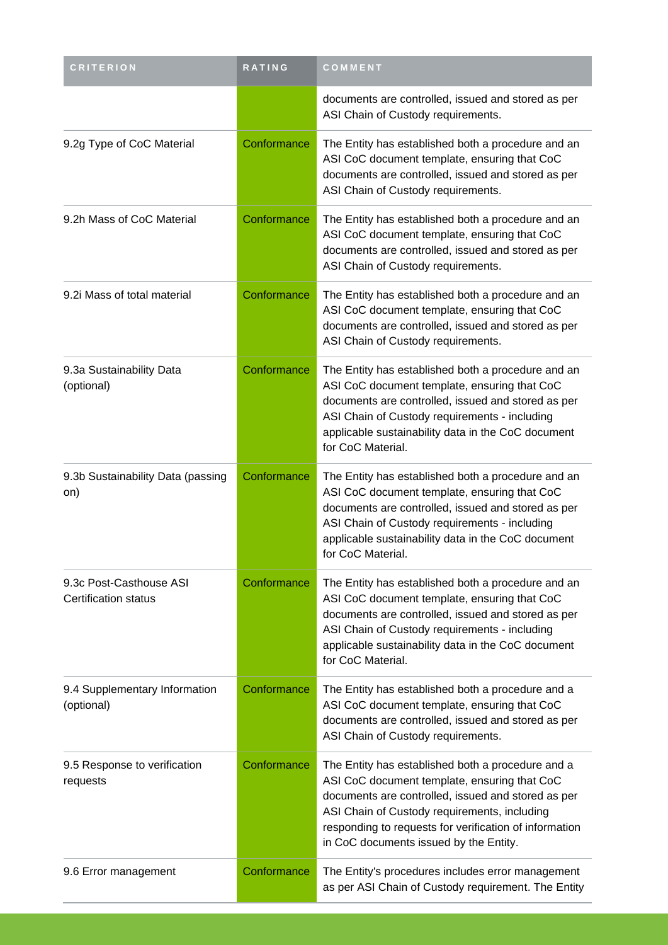| <b>CRITERION</b>                                       | RATING      | COMMENT                                                                                                                                                                                                                                                                                                     |
|--------------------------------------------------------|-------------|-------------------------------------------------------------------------------------------------------------------------------------------------------------------------------------------------------------------------------------------------------------------------------------------------------------|
|                                                        |             | documents are controlled, issued and stored as per<br>ASI Chain of Custody requirements.                                                                                                                                                                                                                    |
| 9.2g Type of CoC Material                              | Conformance | The Entity has established both a procedure and an<br>ASI CoC document template, ensuring that CoC<br>documents are controlled, issued and stored as per<br>ASI Chain of Custody requirements.                                                                                                              |
| 9.2h Mass of CoC Material                              | Conformance | The Entity has established both a procedure and an<br>ASI CoC document template, ensuring that CoC<br>documents are controlled, issued and stored as per<br>ASI Chain of Custody requirements.                                                                                                              |
| 9.2i Mass of total material                            | Conformance | The Entity has established both a procedure and an<br>ASI CoC document template, ensuring that CoC<br>documents are controlled, issued and stored as per<br>ASI Chain of Custody requirements.                                                                                                              |
| 9.3a Sustainability Data<br>(optional)                 | Conformance | The Entity has established both a procedure and an<br>ASI CoC document template, ensuring that CoC<br>documents are controlled, issued and stored as per<br>ASI Chain of Custody requirements - including<br>applicable sustainability data in the CoC document<br>for CoC Material.                        |
| 9.3b Sustainability Data (passing<br>on)               | Conformance | The Entity has established both a procedure and an<br>ASI CoC document template, ensuring that CoC<br>documents are controlled, issued and stored as per<br>ASI Chain of Custody requirements - including<br>applicable sustainability data in the CoC document<br>for CoC Material.                        |
| 9.3c Post-Casthouse ASI<br><b>Certification status</b> | Conformance | The Entity has established both a procedure and an<br>ASI CoC document template, ensuring that CoC<br>documents are controlled, issued and stored as per<br>ASI Chain of Custody requirements - including<br>applicable sustainability data in the CoC document<br>for CoC Material.                        |
| 9.4 Supplementary Information<br>(optional)            | Conformance | The Entity has established both a procedure and a<br>ASI CoC document template, ensuring that CoC<br>documents are controlled, issued and stored as per<br>ASI Chain of Custody requirements.                                                                                                               |
| 9.5 Response to verification<br>requests               | Conformance | The Entity has established both a procedure and a<br>ASI CoC document template, ensuring that CoC<br>documents are controlled, issued and stored as per<br>ASI Chain of Custody requirements, including<br>responding to requests for verification of information<br>in CoC documents issued by the Entity. |
| 9.6 Error management                                   | Conformance | The Entity's procedures includes error management<br>as per ASI Chain of Custody requirement. The Entity                                                                                                                                                                                                    |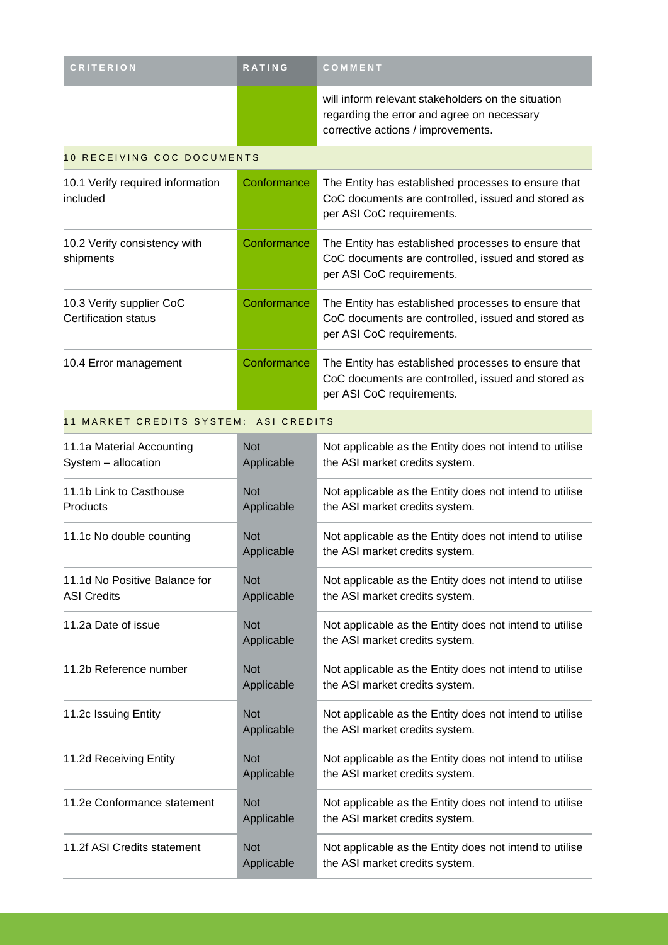| <b>CRITERION</b>                                        | <b>RATING</b>              | COMMENT                                                                                                                                |  |  |  |  |
|---------------------------------------------------------|----------------------------|----------------------------------------------------------------------------------------------------------------------------------------|--|--|--|--|
|                                                         |                            | will inform relevant stakeholders on the situation<br>regarding the error and agree on necessary<br>corrective actions / improvements. |  |  |  |  |
|                                                         | 10 RECEIVING COC DOCUMENTS |                                                                                                                                        |  |  |  |  |
| 10.1 Verify required information<br>included            | Conformance                | The Entity has established processes to ensure that<br>CoC documents are controlled, issued and stored as<br>per ASI CoC requirements. |  |  |  |  |
| 10.2 Verify consistency with<br>shipments               | Conformance                | The Entity has established processes to ensure that<br>CoC documents are controlled, issued and stored as<br>per ASI CoC requirements. |  |  |  |  |
| 10.3 Verify supplier CoC<br><b>Certification status</b> | Conformance                | The Entity has established processes to ensure that<br>CoC documents are controlled, issued and stored as<br>per ASI CoC requirements. |  |  |  |  |
| 10.4 Error management                                   | Conformance                | The Entity has established processes to ensure that<br>CoC documents are controlled, issued and stored as<br>per ASI CoC requirements. |  |  |  |  |
| 11 MARKET CREDITS SYSTEM: ASI CREDITS                   |                            |                                                                                                                                        |  |  |  |  |
| 11.1a Material Accounting<br>System - allocation        | <b>Not</b><br>Applicable   | Not applicable as the Entity does not intend to utilise<br>the ASI market credits system.                                              |  |  |  |  |
| 11.1b Link to Casthouse<br>Products                     | <b>Not</b><br>Applicable   | Not applicable as the Entity does not intend to utilise<br>the ASI market credits system.                                              |  |  |  |  |
| 11.1c No double counting                                | <b>Not</b><br>Applicable   | Not applicable as the Entity does not intend to utilise<br>the ASI market credits system.                                              |  |  |  |  |
| 11.1d No Positive Balance for<br><b>ASI Credits</b>     | <b>Not</b><br>Applicable   | Not applicable as the Entity does not intend to utilise<br>the ASI market credits system.                                              |  |  |  |  |
| 11.2a Date of issue                                     | <b>Not</b><br>Applicable   | Not applicable as the Entity does not intend to utilise<br>the ASI market credits system.                                              |  |  |  |  |
| 11.2b Reference number                                  | <b>Not</b><br>Applicable   | Not applicable as the Entity does not intend to utilise<br>the ASI market credits system.                                              |  |  |  |  |
| 11.2c Issuing Entity                                    | <b>Not</b><br>Applicable   | Not applicable as the Entity does not intend to utilise<br>the ASI market credits system.                                              |  |  |  |  |
| 11.2d Receiving Entity                                  | <b>Not</b><br>Applicable   | Not applicable as the Entity does not intend to utilise<br>the ASI market credits system.                                              |  |  |  |  |
| 11.2e Conformance statement                             | <b>Not</b><br>Applicable   | Not applicable as the Entity does not intend to utilise<br>the ASI market credits system.                                              |  |  |  |  |
| 11.2f ASI Credits statement                             | <b>Not</b><br>Applicable   | Not applicable as the Entity does not intend to utilise<br>the ASI market credits system.                                              |  |  |  |  |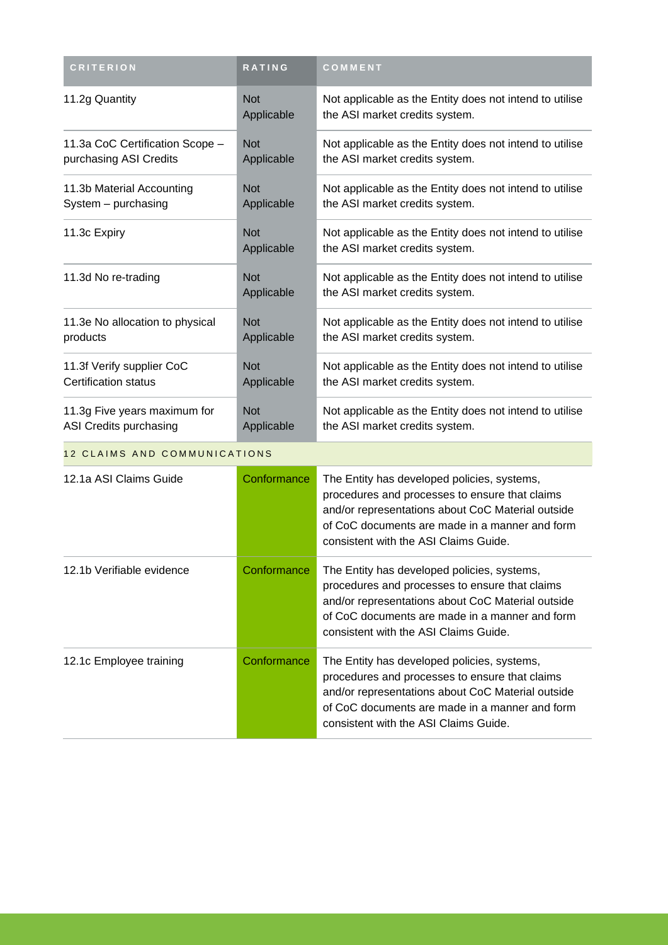| <b>CRITERION</b>                | <b>RATING</b>            | COMMENT                                                                                   |
|---------------------------------|--------------------------|-------------------------------------------------------------------------------------------|
| 11.2g Quantity                  | <b>Not</b><br>Applicable | Not applicable as the Entity does not intend to utilise<br>the ASI market credits system. |
| 11.3a CoC Certification Scope - | <b>Not</b>               | Not applicable as the Entity does not intend to utilise                                   |
| purchasing ASI Credits          | Applicable               | the ASI market credits system.                                                            |
| 11.3b Material Accounting       | <b>Not</b>               | Not applicable as the Entity does not intend to utilise                                   |
| System - purchasing             | Applicable               | the ASI market credits system.                                                            |
| 11.3c Expiry                    | <b>Not</b><br>Applicable | Not applicable as the Entity does not intend to utilise<br>the ASI market credits system. |
| 11.3d No re-trading             | <b>Not</b><br>Applicable | Not applicable as the Entity does not intend to utilise<br>the ASI market credits system. |
| 11.3e No allocation to physical | <b>Not</b>               | Not applicable as the Entity does not intend to utilise                                   |
| products                        | Applicable               | the ASI market credits system.                                                            |
| 11.3f Verify supplier CoC       | <b>Not</b>               | Not applicable as the Entity does not intend to utilise                                   |
| Certification status            | Applicable               | the ASI market credits system.                                                            |
| 11.3g Five years maximum for    | <b>Not</b>               | Not applicable as the Entity does not intend to utilise                                   |
| ASI Credits purchasing          | Applicable               | the ASI market credits system.                                                            |

#### 12 CLAIMS AND COMMUNICATIONS

| 12.1a ASI Claims Guide    | Conformance | The Entity has developed policies, systems,<br>procedures and processes to ensure that claims<br>and/or representations about CoC Material outside<br>of CoC documents are made in a manner and form<br>consistent with the ASI Claims Guide. |
|---------------------------|-------------|-----------------------------------------------------------------------------------------------------------------------------------------------------------------------------------------------------------------------------------------------|
| 12.1b Verifiable evidence | Conformance | The Entity has developed policies, systems,<br>procedures and processes to ensure that claims<br>and/or representations about CoC Material outside<br>of CoC documents are made in a manner and form<br>consistent with the ASI Claims Guide. |
| 12.1c Employee training   | Conformance | The Entity has developed policies, systems,<br>procedures and processes to ensure that claims<br>and/or representations about CoC Material outside<br>of CoC documents are made in a manner and form<br>consistent with the ASI Claims Guide. |